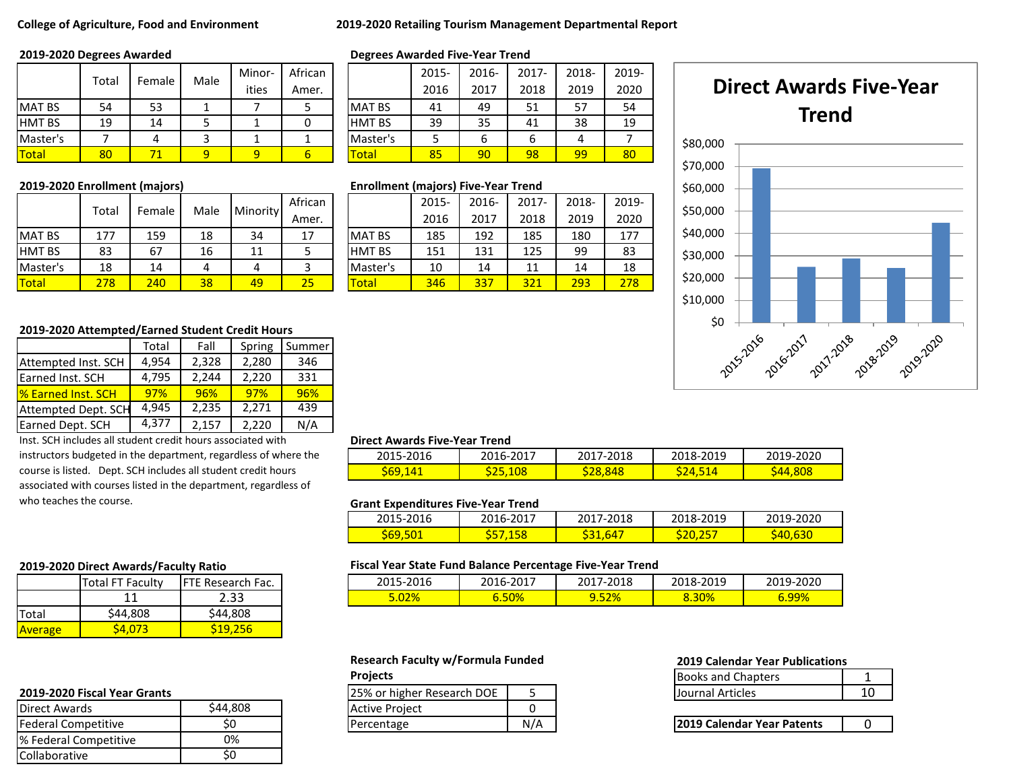### **College of Agriculture, Food and Environment 2019-2020 Retailing Tourism Management Departmental Report**

|               | Total |        |      | Minor- | African |               | 2015- | 2016- | $2017 -$ | 2018- | 201 |
|---------------|-------|--------|------|--------|---------|---------------|-------|-------|----------|-------|-----|
|               |       | Female | Male | ities  | Amer.   |               | 2016  | 2017  | 2018     | 2019  | 202 |
| <b>MAT BS</b> | 54    | 53     |      |        |         | <b>MAT BS</b> | 41    | 49    | 51       | 57    | 54  |
| <b>HMT BS</b> | 19    | 14     |      |        |         | <b>HMT BS</b> | 39    | 35    | 41       | 38    | 19  |
| Master's      |       |        |      |        |         | Master's      |       | ь     | 6        |       |     |
| <b>Total</b>  | 80    |        |      |        |         | Total         | 85    | 90    | 98       | 99    | 80  |

| 2019-2020 Enrollment (majors) |  |  |
|-------------------------------|--|--|
|-------------------------------|--|--|

|               | Total | Female | Male | Minority | African |               | 2015- | 2016- | $2017 -$ | 2018- | 2019 |
|---------------|-------|--------|------|----------|---------|---------------|-------|-------|----------|-------|------|
|               |       |        |      |          | Amer.   |               | 2016  | 2017  | 2018     | 2019  | 2020 |
| <b>MAT BS</b> | 177   | 159    | 18   | 34       |         | <b>MAT BS</b> | 185   | 192   | 185      | 180   | 177  |
| <b>HMT BS</b> | 83    | 67     | 16   | 11       |         | <b>HMT BS</b> | 151   | 131   | 125      | 99    | 83   |
| Master's      | 18    | 14     |      |          |         | Master's      | 10    | 14    | 11       | 14    | 18   |
| <b>Total</b>  | 278   | 240    | 38   | 49       | 25      | <b>Total</b>  | 346   | 337   | 321      | 293   | 278  |

|               | Degices Awarded Five-Teal Tienu |       |       |       |       |  |  |  |  |  |
|---------------|---------------------------------|-------|-------|-------|-------|--|--|--|--|--|
|               | 2015-                           | 2016- | 2017- | 2018- | 2019- |  |  |  |  |  |
|               | 2016                            | 2017  | 2018  | 2019  | 2020  |  |  |  |  |  |
| <b>MAT BS</b> | 41                              | 49    | 51    | 57    | 54    |  |  |  |  |  |
| <b>HMT BS</b> | 39                              | 35    | 41    | 38    | 19    |  |  |  |  |  |
| Master's      |                                 |       | 6     |       |       |  |  |  |  |  |
| Гоtal         | 85                              | 90    | 98    | 99    | 80    |  |  |  |  |  |

### **2019-2020 Enrollment (majors) Enrollment (majors) Five-Year Trend**

|               | 2015- | 2016- | $2017 -$ | 2018- | 2019- |
|---------------|-------|-------|----------|-------|-------|
|               | 2016  | 2017  | 2018     | 2019  | 2020  |
| <b>MAT BS</b> | 185   | 192   | 185      | 180   | 177   |
| <b>HMT BS</b> | 151   | 131   | 125      | 99    | 83    |
| Master's      | 10    | 14    | 11       | 14    | 18    |
| Total         | 346   | 337   | 321      | 293   | 278   |



### **2019-2020 Attempted/Earned Student Credit Hours**

|                            | Total | Fall  | Spring | Summer |
|----------------------------|-------|-------|--------|--------|
| Attempted Inst. SCH        | 4,954 | 2,328 | 2,280  | 346    |
| Earned Inst. SCH           | 4,795 | 2,244 | 2,220  | 331    |
| <b>1% Earned Inst. SCH</b> | 97%   | 96%   | 97%    | 96%    |
| <b>Attempted Dept. SCH</b> | 4.945 | 2,235 | 2,271  | 439    |
| Earned Dept. SCH           | 4,377 | 2,157 | 2,220  | N/A    |

Inst. SCH includes all student credit hours associated with instructors budgeted in the department, regardless of where the course is listed. Dept. SCH includes all student credit hours associated with courses listed in the department, regardless of who teaches the course.

### **Direct Awards Five-Year Trend**

| 2015-2016    | 2016-2017 | 2017-2018 | 2018-2019   | 2019-2020 |
|--------------|-----------|-----------|-------------|-----------|
| 569ء<br>14 I | 525,108   | 528.848   | <u> 74.</u> | дд        |

### **Grant Expenditures Five-Year Trend**

| 2015-2016 | <u> 2016-2017</u> | 2017-2018 | 2018-2019                               | 2019-2020 |
|-----------|-------------------|-----------|-----------------------------------------|-----------|
| 569,5     | <b>CQ</b><br>ь.   | 64        | 1E.<br>20<br>- <del>- - - - - - -</del> | sДL       |

|               | Total FT Faculty | <b>IFTE Research Fac.</b> |
|---------------|------------------|---------------------------|
|               |                  | 2.33                      |
| <b>ITotal</b> | \$44,808         | \$44,808                  |
| Average       |                  | 519.256                   |

| <u>ZUIJ-ZUZU FISLAI TEAL GIAILS</u> |         | <b>IZJ/0 UI HIRHEI NESEALUI DOL</b> |     | TJUUTTIAI ALLIULES                 |  |
|-------------------------------------|---------|-------------------------------------|-----|------------------------------------|--|
| Direct Awards                       | 44,808ء | Active Project                      |     |                                    |  |
| <b>Federal Competitive</b>          | JU      | Percentage                          | N/A | <b>12019 Calendar Year Patents</b> |  |
| I% Federal Competitive              | 0%      |                                     |     |                                    |  |
| Collaborative                       | JU      |                                     |     |                                    |  |

## **2019-2020 Direct Awards/Faculty Ratio Fiscal Year State Fund Balance Percentage Five-Year Trend**

| 2015-2016 | 2016-2017 | 2017-2018 | 2018-2019 | 2019-2020 |
|-----------|-----------|-----------|-----------|-----------|
| 5.02%     | $6.50\%$  | 9.52%     | 8.30%     | 99%       |

## **Research Faculty w/Formula Funded 2019 Calendar Year Publications**

| 2019-2020 Fiscal Year Grants |         | 125% or higher Research DOE |     | <b>Journal Articles</b>           | <u>"</u><br>ᅩ |
|------------------------------|---------|-----------------------------|-----|-----------------------------------|---------------|
| Direct Awards                | 44,808ذ | <b>Active Project</b>       |     |                                   |               |
| Federal Competitive          |         | Percentage                  | N/A | <b>2019 Calendar Year Patents</b> |               |

| <b>Projects</b>            | <b>Books and Chapters</b> |  |
|----------------------------|---------------------------|--|
| 25% or higher Research DOE | Journal Articles          |  |

| 2019 Calendar Year Patents |  |
|----------------------------|--|
|----------------------------|--|

# **2019-2020 Degrees Awarded Degrees Awarded Five-Year Trend**